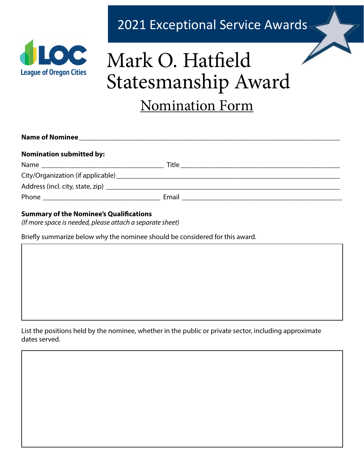

## 2021 Exceptional Service Awards

# Mark O. Hatfield Statesmanship Award Nomination Form

| <b>Nomination submitted by:</b> |  |
|---------------------------------|--|
|                                 |  |
|                                 |  |
|                                 |  |
|                                 |  |

#### **Summary of the Nominee's Qualifications**

*(If more space is needed, please attach a separate sheet)*

Briefly summarize below why the nominee should be considered for this award.

List the positions held by the nominee, whether in the public or private sector, including approximate dates served.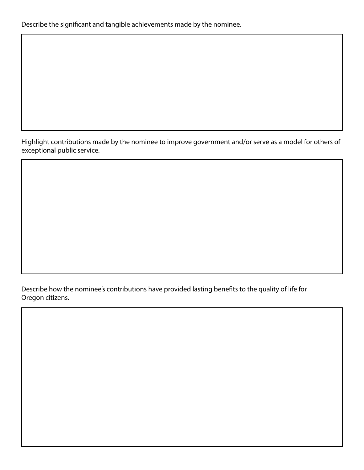Describe the significant and tangible achievements made by the nominee.

Highlight contributions made by the nominee to improve government and/or serve as a model for others of exceptional public service.

Describe how the nominee's contributions have provided lasting benefits to the quality of life for Oregon citizens.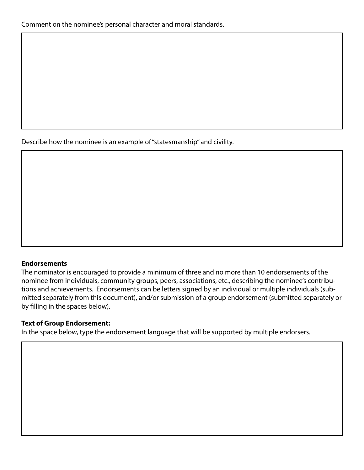Describe how the nominee is an example of "statesmanship" and civility.

#### **Endorsements**

The nominator is encouraged to provide a minimum of three and no more than 10 endorsements of the nominee from individuals, community groups, peers, associations, etc., describing the nominee's contributions and achievements. Endorsements can be letters signed by an individual or multiple individuals (submitted separately from this document), and/or submission of a group endorsement (submitted separately or by filling in the spaces below).

#### **Text of Group Endorsement:**

In the space below, type the endorsement language that will be supported by multiple endorsers.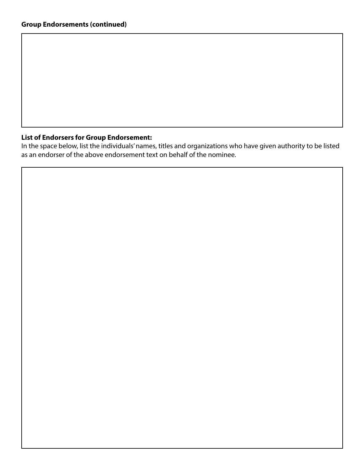#### **List of Endorsers for Group Endorsement:**

In the space below, list the individuals' names, titles and organizations who have given authority to be listed as an endorser of the above endorsement text on behalf of the nominee.